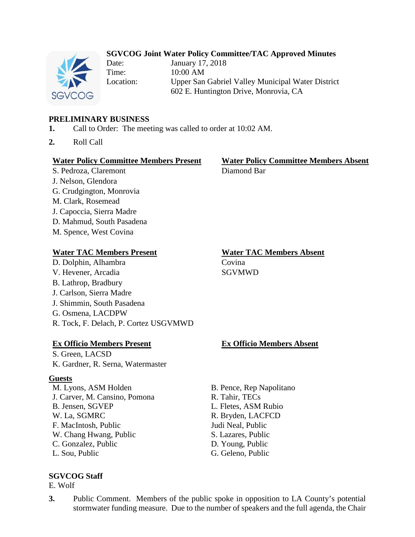## **SGVCOG Joint Water Policy Committee/TAC Approved Minutes**



Date: January 17, 2018 Time: 10:00 AM Location: Upper San Gabriel Valley Municipal Water District 602 E. Huntington Drive, Monrovia, CA

## **PRELIMINARY BUSINESS**

- **1.** Call to Order: The meeting was called to order at 10:02 AM.
- **2.** Roll Call

### **Water Policy Committee Members Present Water Policy Committee Members Absent**

S. Pedroza, Claremont Diamond Bar

- J. Nelson, Glendora G. Crudgington, Monrovia
- M. Clark, Rosemead
- J. Capoccia, Sierra Madre
- D. Mahmud, South Pasadena
- M. Spence, West Covina

## **Water TAC Members Present Water TAC Members Absent**

D. Dolphin, Alhambra Covina V. Hevener, Arcadia SGVMWD B. Lathrop, Bradbury J. Carlson, Sierra Madre J. Shimmin, South Pasadena G. Osmena, LACDPW R. Tock, F. Delach, P. Cortez USGVMWD

## **Ex Officio Members Present Ex Officio Members Absent**

S. Green, LACSD K. Gardner, R. Serna, Watermaster

## **Guests**

M. Lyons, ASM Holden B. Pence, Rep Napolitano J. Carver, M. Cansino, Pomona R. Tahir, TECs B. Jensen, SGVEP L. Fletes, ASM Rubio W. La, SGMRC R. Bryden, LACFCD F. MacIntosh, Public Judi Neal, Public W. Chang Hwang, Public S. Lazares, Public C. Gonzalez, Public D. Young, Public L. Sou, Public G. Geleno, Public G. Geleno, Public

## **SGVCOG Staff**

E. Wolf

**3.** Public Comment. Members of the public spoke in opposition to LA County's potential stormwater funding measure. Due to the number of speakers and the full agenda, the Chair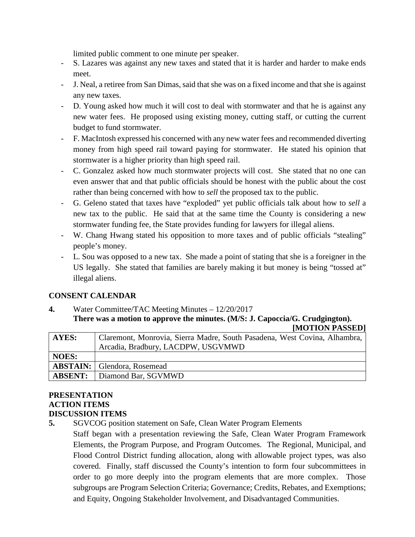limited public comment to one minute per speaker.

- S. Lazares was against any new taxes and stated that it is harder and harder to make ends meet.
- J. Neal, a retiree from San Dimas, said that she was on a fixed income and that she is against any new taxes.
- D. Young asked how much it will cost to deal with stormwater and that he is against any new water fees. He proposed using existing money, cutting staff, or cutting the current budget to fund stormwater.
- F. MacIntosh expressed his concerned with any new water fees and recommended diverting money from high speed rail toward paying for stormwater. He stated his opinion that stormwater is a higher priority than high speed rail.
- C. Gonzalez asked how much stormwater projects will cost. She stated that no one can even answer that and that public officials should be honest with the public about the cost rather than being concerned with how to *sell* the proposed tax to the public.
- G. Geleno stated that taxes have "exploded" yet public officials talk about how to *sell* a new tax to the public. He said that at the same time the County is considering a new stormwater funding fee, the State provides funding for lawyers for illegal aliens.
- W. Chang Hwang stated his opposition to more taxes and of public officials "stealing" people's money.
- L. Sou was opposed to a new tax. She made a point of stating that she is a foreigner in the US legally. She stated that families are barely making it but money is being "tossed at" illegal aliens.

# **CONSENT CALENDAR**

**4.** Water Committee/TAC Meeting Minutes – 12/20/2017 **There was a motion to approve the minutes. (M/S: J. Capoccia/G. Crudgington).**

**[MOTION PASSED] AYES:** Claremont, Monrovia, Sierra Madre, South Pasadena, West Covina, Alhambra, Arcadia, Bradbury, LACDPW, USGVMWD **NOES: ABSTAIN:** Glendora, Rosemead **ABSENT:** Diamond Bar, SGVMWD

### **PRESENTATION ACTION ITEMS DISCUSSION ITEMS**

**5.** SGVCOG position statement on Safe, Clean Water Program Elements

Staff began with a presentation reviewing the Safe, Clean Water Program Framework Elements, the Program Purpose, and Program Outcomes. The Regional, Municipal, and Flood Control District funding allocation, along with allowable project types, was also covered. Finally, staff discussed the County's intention to form four subcommittees in order to go more deeply into the program elements that are more complex. Those subgroups are Program Selection Criteria; Governance; Credits, Rebates, and Exemptions; and Equity, Ongoing Stakeholder Involvement, and Disadvantaged Communities.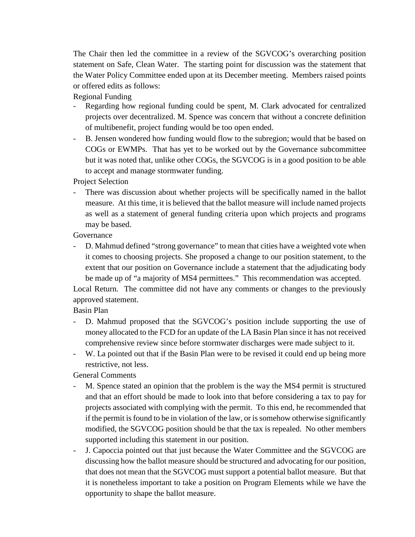The Chair then led the committee in a review of the SGVCOG's overarching position statement on Safe, Clean Water. The starting point for discussion was the statement that the Water Policy Committee ended upon at its December meeting. Members raised points or offered edits as follows:

Regional Funding

- Regarding how regional funding could be spent, M. Clark advocated for centralized projects over decentralized. M. Spence was concern that without a concrete definition of multibenefit, project funding would be too open ended.
- B. Jensen wondered how funding would flow to the subregion; would that be based on COGs or EWMPs. That has yet to be worked out by the Governance subcommittee but it was noted that, unlike other COGs, the SGVCOG is in a good position to be able to accept and manage stormwater funding.

Project Selection

- There was discussion about whether projects will be specifically named in the ballot measure. At this time, it is believed that the ballot measure will include named projects as well as a statement of general funding criteria upon which projects and programs may be based.

Governance

- D. Mahmud defined "strong governance" to mean that cities have a weighted vote when it comes to choosing projects. She proposed a change to our position statement, to the extent that our position on Governance include a statement that the adjudicating body be made up of "a majority of MS4 permittees." This recommendation was accepted.

Local Return. The committee did not have any comments or changes to the previously approved statement.

Basin Plan

- D. Mahmud proposed that the SGVCOG's position include supporting the use of money allocated to the FCD for an update of the LA Basin Plan since it has not received comprehensive review since before stormwater discharges were made subject to it.
- W. La pointed out that if the Basin Plan were to be revised it could end up being more restrictive, not less.

General Comments

- M. Spence stated an opinion that the problem is the way the MS4 permit is structured and that an effort should be made to look into that before considering a tax to pay for projects associated with complying with the permit. To this end, he recommended that if the permit is found to be in violation of the law, or is somehow otherwise significantly modified, the SGVCOG position should be that the tax is repealed. No other members supported including this statement in our position.
- J. Capoccia pointed out that just because the Water Committee and the SGVCOG are discussing how the ballot measure should be structured and advocating for our position, that does not mean that the SGVCOG must support a potential ballot measure. But that it is nonetheless important to take a position on Program Elements while we have the opportunity to shape the ballot measure.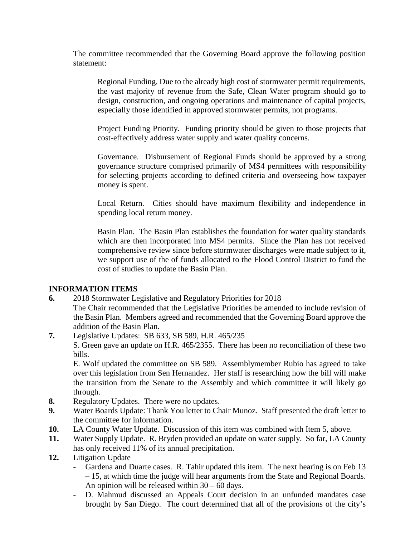The committee recommended that the Governing Board approve the following position statement:

Regional Funding. Due to the already high cost of stormwater permit requirements, the vast majority of revenue from the Safe, Clean Water program should go to design, construction, and ongoing operations and maintenance of capital projects, especially those identified in approved stormwater permits, not programs.

Project Funding Priority. Funding priority should be given to those projects that cost-effectively address water supply and water quality concerns.

Governance. Disbursement of Regional Funds should be approved by a strong governance structure comprised primarily of MS4 permittees with responsibility for selecting projects according to defined criteria and overseeing how taxpayer money is spent.

Local Return. Cities should have maximum flexibility and independence in spending local return money.

Basin Plan. The Basin Plan establishes the foundation for water quality standards which are then incorporated into MS4 permits. Since the Plan has not received comprehensive review since before stormwater discharges were made subject to it, we support use of the of funds allocated to the Flood Control District to fund the cost of studies to update the Basin Plan.

## **INFORMATION ITEMS**

- **6.** 2018 Stormwater Legislative and Regulatory Priorities for 2018
- The Chair recommended that the Legislative Priorities be amended to include revision of the Basin Plan. Members agreed and recommended that the Governing Board approve the addition of the Basin Plan.
- **7.** Legislative Updates: SB 633, SB 589, H.R. 465/235

S. Green gave an update on H.R. 465/2355. There has been no reconciliation of these two bills.

E. Wolf updated the committee on SB 589. Assemblymember Rubio has agreed to take over this legislation from Sen Hernandez. Her staff is researching how the bill will make the transition from the Senate to the Assembly and which committee it will likely go through.

- **8.** Regulatory Updates. There were no updates.
- **9.** Water Boards Update: Thank You letter to Chair Munoz. Staff presented the draft letter to the committee for information.
- **10.** LA County Water Update. Discussion of this item was combined with Item 5, above.
- **11.** Water Supply Update. R. Bryden provided an update on water supply. So far, LA County has only received 11% of its annual precipitation.
- **12.** Litigation Update
	- Gardena and Duarte cases. R. Tahir updated this item. The next hearing is on Feb 13 – 15, at which time the judge will hear arguments from the State and Regional Boards. An opinion will be released within 30 – 60 days.
	- D. Mahmud discussed an Appeals Court decision in an unfunded mandates case brought by San Diego. The court determined that all of the provisions of the city's